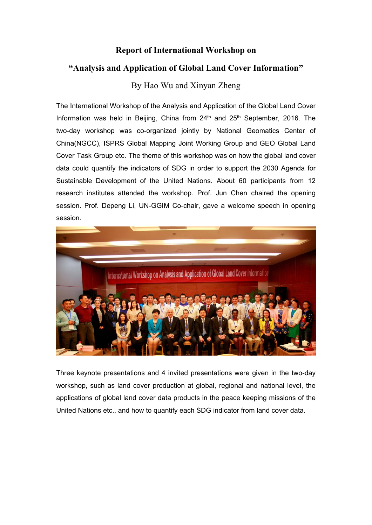## **Report of International Workshop on**

## **"Analysis and Application of Global Land Cover Information"**

## By Hao Wu and Xinyan Zheng

The International Workshop of the Analysis and Application of the Global Land Cover Information was held in Beijing, China from 24<sup>th</sup> and 25<sup>th</sup> September, 2016. The two-day workshop was co-organized jointly by National Geomatics Center of China(NGCC), ISPRS Global Mapping Joint Working Group and GEO Global Land Cover Task Group etc. The theme of this workshop was on how the global land cover data could quantify the indicators of SDG in order to support the 2030 Agenda for Sustainable Development of the United Nations. About 60 participants from 12 research institutes attended the workshop. Prof. Jun Chen chaired the opening session. Prof. Depeng Li, UN-GGIM Co-chair, gave a welcome speech in opening session.



Three keynote presentations and 4 invited presentations were given in the two-day workshop, such as land cover production at global, regional and national level, the applications of global land cover data products in the peace keeping missions of the United Nations etc., and how to quantify each SDG indicator from land cover data.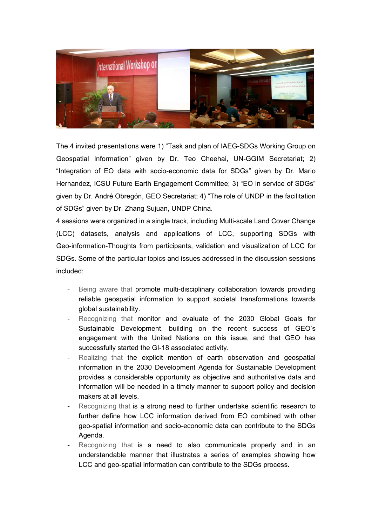

The 4 invited presentations were 1) "Task and plan of IAEG-SDGs Working Group on Geospatial Information" given by Dr. Teo Cheehai, UN-GGIM Secretariat; 2) "Integration of EO data with socio-economic data for SDGs" given by Dr. Mario Hernandez, ICSU Future Earth Engagement Committee; 3) "EO in service of SDGs" given by Dr. André Obregón, GEO Secretariat; 4) "The role of UNDP in the facilitation of SDGs" given by Dr. Zhang Sujuan, UNDP China.

4 sessions were organized in a single track, including Multi-scale Land Cover Change (LCC) datasets, analysis and applications of LCC, supporting SDGs with Geo-information-Thoughts from participants, validation and visualization of LCC for SDGs. Some of the particular topics and issues addressed in the discussion sessions included:

- Being aware that promote multi-disciplinary collaboration towards providing reliable geospatial information to support societal transformations towards global sustainability.
- Recognizing that monitor and evaluate of the 2030 Global Goals for Sustainable Development, building on the recent success of GEO's engagement with the United Nations on this issue, and that GEO has successfully started the GI-18 associated activity.
- Realizing that the explicit mention of earth observation and geospatial information in the 2030 Development Agenda for Sustainable Development provides a considerable opportunity as objective and authoritative data and information will be needed in a timely manner to support policy and decision makers at all levels.
- Recognizing that is a strong need to further undertake scientific research to further define how LCC information derived from EO combined with other geo-spatial information and socio-economic data can contribute to the SDGs Agenda.
- Recognizing that is a need to also communicate properly and in an understandable manner that illustrates a series of examples showing how LCC and geo-spatial information can contribute to the SDGs process.